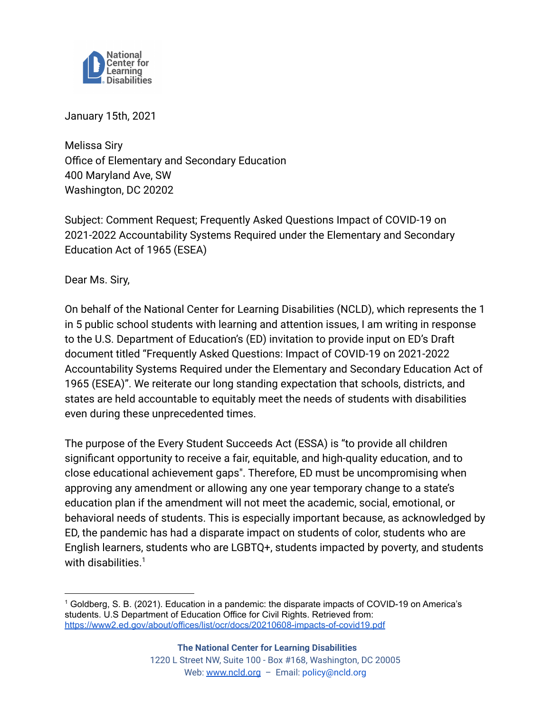

January 15th, 2021

Melissa Siry Office of Elementary and Secondary Education 400 Maryland Ave, SW Washington, DC 20202

Subject: Comment Request; Frequently Asked Questions Impact of COVID-19 on 2021-2022 Accountability Systems Required under the Elementary and Secondary Education Act of 1965 (ESEA)

Dear Ms. Siry,

On behalf of the National Center for Learning Disabilities (NCLD), which represents the 1 in 5 public school students with learning and attention issues, I am writing in response to the U.S. Department of Education's (ED) invitation to provide input on ED's Draft document titled "Frequently Asked Questions: Impact of COVID-19 on 2021-2022 Accountability Systems Required under the Elementary and Secondary Education Act of 1965 (ESEA)". We reiterate our long standing expectation that schools, districts, and states are held accountable to equitably meet the needs of students with disabilities even during these unprecedented times.

The purpose of the Every Student Succeeds Act (ESSA) is "to provide all children significant opportunity to receive a fair, equitable, and high-quality education, and to close educational achievement gaps". Therefore, ED must be uncompromising when approving any amendment or allowing any one year temporary change to a state's education plan if the amendment will not meet the academic, social, emotional, or behavioral needs of students. This is especially important because, as acknowledged by ED, the pandemic has had a disparate impact on students of color, students who are English learners, students who are LGBTQ+, students impacted by poverty, and students with disabilities. $1$ 

<sup>1</sup> Goldberg, S. B. (2021). Education in a pandemic: the disparate impacts of COVID-19 on America's students. U.S Department of Education Office for Civil Rights. Retrieved from: <https://www2.ed.gov/about/offices/list/ocr/docs/20210608-impacts-of-covid19.pdf>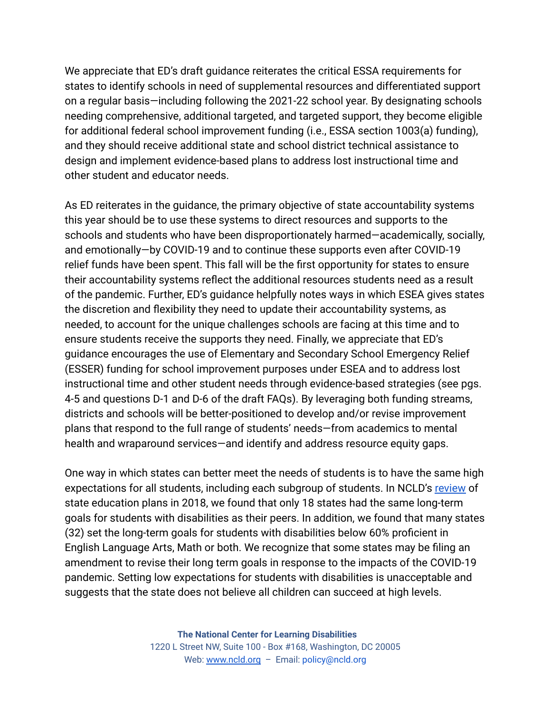We appreciate that ED's draft guidance reiterates the critical ESSA requirements for states to identify schools in need of supplemental resources and differentiated support on a regular basis—including following the 2021-22 school year. By designating schools needing comprehensive, additional targeted, and targeted support, they become eligible for additional federal school improvement funding (i.e., ESSA section 1003(a) funding), and they should receive additional state and school district technical assistance to design and implement evidence-based plans to address lost instructional time and other student and educator needs.

As ED reiterates in the guidance, the primary objective of state accountability systems this year should be to use these systems to direct resources and supports to the schools and students who have been disproportionately harmed—academically, socially, and emotionally—by COVID-19 and to continue these supports even after COVID-19 relief funds have been spent. This fall will be the first opportunity for states to ensure their accountability systems reflect the additional resources students need as a result of the pandemic. Further, ED's guidance helpfully notes ways in which ESEA gives states the discretion and flexibility they need to update their accountability systems, as needed, to account for the unique challenges schools are facing at this time and to ensure students receive the supports they need. Finally, we appreciate that ED's guidance encourages the use of Elementary and Secondary School Emergency Relief (ESSER) funding for school improvement purposes under ESEA and to address lost instructional time and other student needs through evidence-based strategies (see pgs. 4-5 and questions D-1 and D-6 of the draft FAQs). By leveraging both funding streams, districts and schools will be better-positioned to develop and/or revise improvement plans that respond to the full range of students' needs—from academics to mental health and wraparound services—and identify and address resource equity gaps.

One way in which states can better meet the needs of students is to have the same high expectations for all students, including each subgroup of students. In NCLD's [review](https://www.ncld.org/wp-content/uploads/2018/10/AssessingESSA_2018.pdf) of state education plans in 2018, we found that only 18 states had the same long-term goals for students with disabilities as their peers. In addition, we found that many states (32) set the long-term goals for students with disabilities below 60% proficient in English Language Arts, Math or both. We recognize that some states may be filing an amendment to revise their long term goals in response to the impacts of the COVID-19 pandemic. Setting low expectations for students with disabilities is unacceptable and suggests that the state does not believe all children can succeed at high levels.

> **The National Center for Learning Disabilities** 1220 L Street NW, Suite 100 - Box #168, Washington, DC 20005 Web: [www.ncld.org](http://www.ncld.org) - Email: policy@ncld.org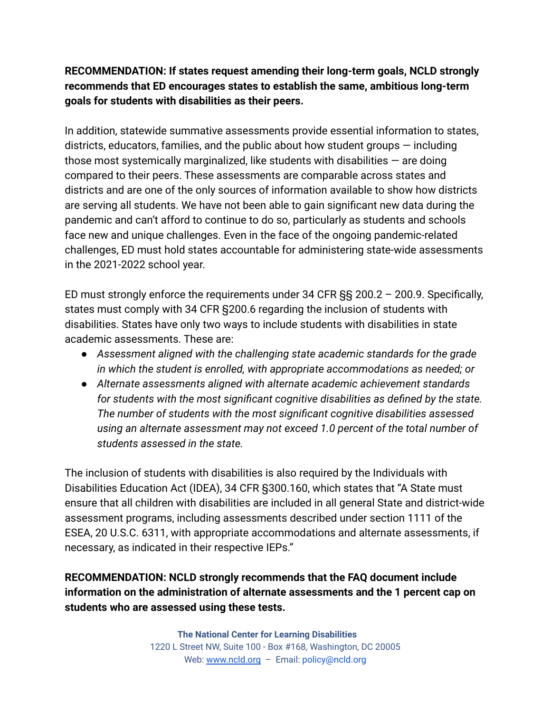## **RECOMMENDATION: If states request amending their long-term goals, NCLD strongly recommends that ED encourages states to establish the same, ambitious long-term goals for students with disabilities as their peers.**

In addition, statewide summative assessments provide essential information to states, districts, educators, families, and the public about how student groups — including those most systemically marginalized, like students with disabilities  $-$  are doing compared to their peers. These assessments are comparable across states and districts and are one of the only sources of information available to show how districts are serving all students. We have not been able to gain significant new data during the pandemic and can't afford to continue to do so, particularly as students and schools face new and unique challenges. Even in the face of the ongoing pandemic-related challenges, ED must hold states accountable for administering state-wide assessments in the 2021-2022 school year.

ED must strongly enforce the requirements under 34 CFR §§ 200.2 – 200.9. Specifically, states must comply with 34 CFR §200.6 regarding the inclusion of students with disabilities. States have only two ways to include students with disabilities in state academic assessments. These are:

- *● Assessment aligned with the challenging state academic standards for the grade in which the student is enrolled, with appropriate accommodations as needed; or*
- *● Alternate assessments aligned with alternate academic achievement standards for students with the most significant cognitive disabilities as defined by the state. The number of students with the most significant cognitive disabilities assessed using an alternate assessment may not exceed 1.0 percent of the total number of students assessed in the state.*

The inclusion of students with disabilities is also required by the Individuals with Disabilities Education Act (IDEA), 34 CFR §300.160, which states that "A State must ensure that all children with disabilities are included in all general State and district-wide assessment programs, including assessments described under section 1111 of the ESEA, 20 U.S.C. 6311, with appropriate accommodations and alternate assessments, if necessary, as indicated in their respective IEPs."

## **RECOMMENDATION: NCLD strongly recommends that the FAQ document include information on the administration of alternate assessments and the 1 percent cap on students who are assessed using these tests.**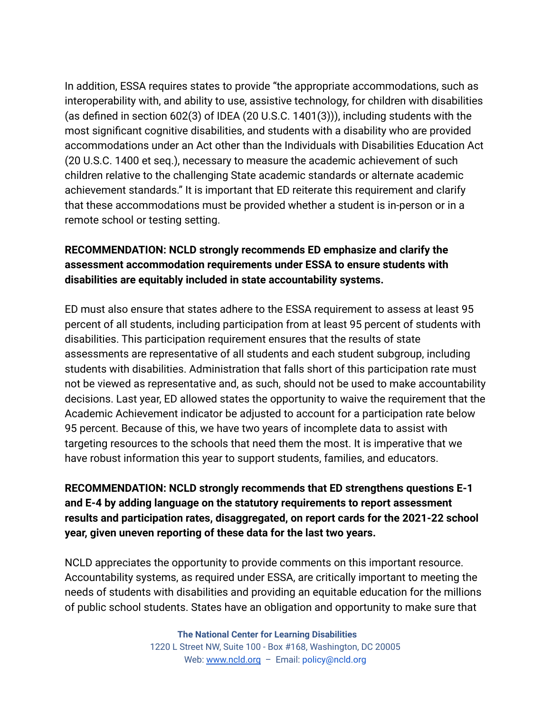In addition, ESSA requires states to provide "the appropriate accommodations, such as interoperability with, and ability to use, assistive technology, for children with disabilities (as defined in section 602(3) of IDEA (20 U.S.C. 1401(3))), including students with the most significant cognitive disabilities, and students with a disability who are provided accommodations under an Act other than the Individuals with Disabilities Education Act (20 U.S.C. 1400 et seq.), necessary to measure the academic achievement of such children relative to the challenging State academic standards or alternate academic achievement standards." It is important that ED reiterate this requirement and clarify that these accommodations must be provided whether a student is in-person or in a remote school or testing setting.

## **RECOMMENDATION: NCLD strongly recommends ED emphasize and clarify the assessment accommodation requirements under ESSA to ensure students with disabilities are equitably included in state accountability systems.**

ED must also ensure that states adhere to the ESSA requirement to assess at least 95 percent of all students, including participation from at least 95 percent of students with disabilities. This participation requirement ensures that the results of state assessments are representative of all students and each student subgroup, including students with disabilities. Administration that falls short of this participation rate must not be viewed as representative and, as such, should not be used to make accountability decisions. Last year, ED allowed states the opportunity to waive the requirement that the Academic Achievement indicator be adjusted to account for a participation rate below 95 percent. Because of this, we have two years of incomplete data to assist with targeting resources to the schools that need them the most. It is imperative that we have robust information this year to support students, families, and educators.

**RECOMMENDATION: NCLD strongly recommends that ED strengthens questions E-1 and E-4 by adding language on the statutory requirements to report assessment results and participation rates, disaggregated, on report cards for the 2021-22 school year, given uneven reporting of these data for the last two years.**

NCLD appreciates the opportunity to provide comments on this important resource. Accountability systems, as required under ESSA, are critically important to meeting the needs of students with disabilities and providing an equitable education for the millions of public school students. States have an obligation and opportunity to make sure that